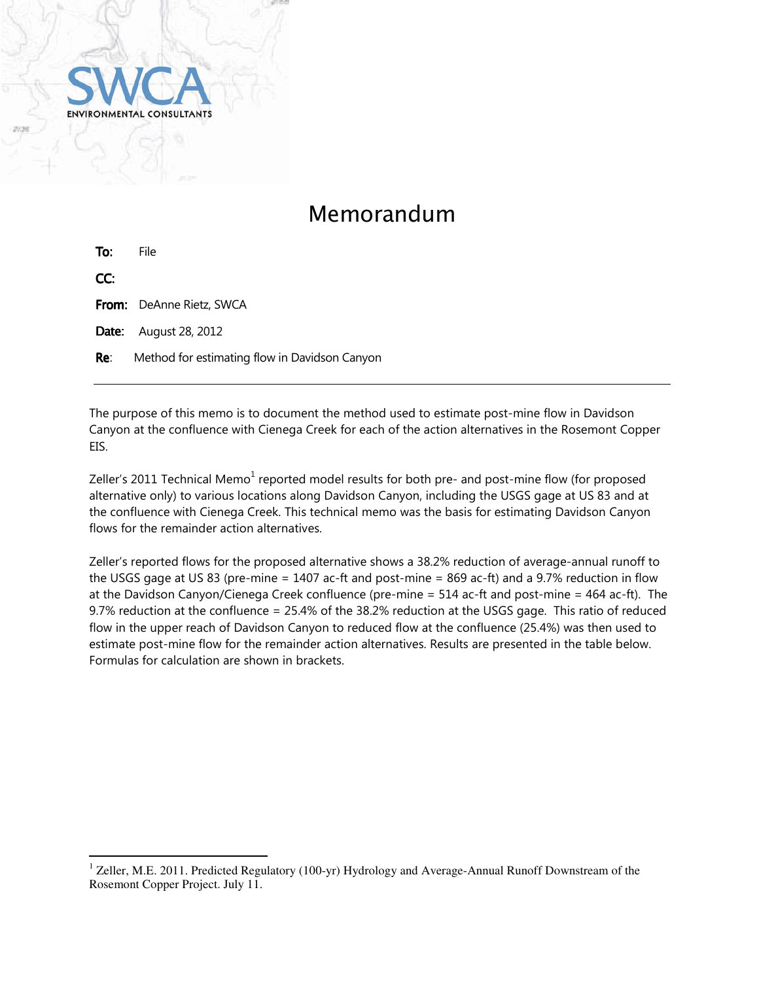

## Memorandum

| To:   | File                                          |
|-------|-----------------------------------------------|
| CC:   |                                               |
|       | <b>From:</b> DeAnne Rietz, SWCA               |
|       | <b>Date:</b> August 28, 2012                  |
| Re: l | Method for estimating flow in Davidson Canyon |
|       |                                               |

The purpose of this memo is to document the method used to estimate post-mine flow in Davidson Canyon at the confluence with Cienega Creek for each of the action alternatives in the Rosemont Copper EIS.

Zeller's 2011 Technical Memo $^1$  reported model results for both pre- and post-mine flow (for proposed alternative only) to various locations along Davidson Canyon, including the USGS gage at US 83 and at the confluence with Cienega Creek. This technical memo was the basis for estimating Davidson Canyon flows for the remainder action alternatives.

Zeller's reported flows for the proposed alternative shows a 38.2% reduction of average-annual runoff to the USGS gage at US 83 (pre-mine = 1407 ac-ft and post-mine = 869 ac-ft) and a 9.7% reduction in flow at the Davidson Canyon/Cienega Creek confluence (pre-mine = 514 ac-ft and post-mine = 464 ac-ft). The 9.7% reduction at the confluence = 25.4% of the 38.2% reduction at the USGS gage. This ratio of reduced flow in the upper reach of Davidson Canyon to reduced flow at the confluence (25.4%) was then used to estimate post-mine flow for the remainder action alternatives. Results are presented in the table below. Formulas for calculation are shown in brackets.

 1 Zeller, M.E. 2011. Predicted Regulatory (100-yr) Hydrology and Average-Annual Runoff Downstream of the Rosemont Copper Project. July 11.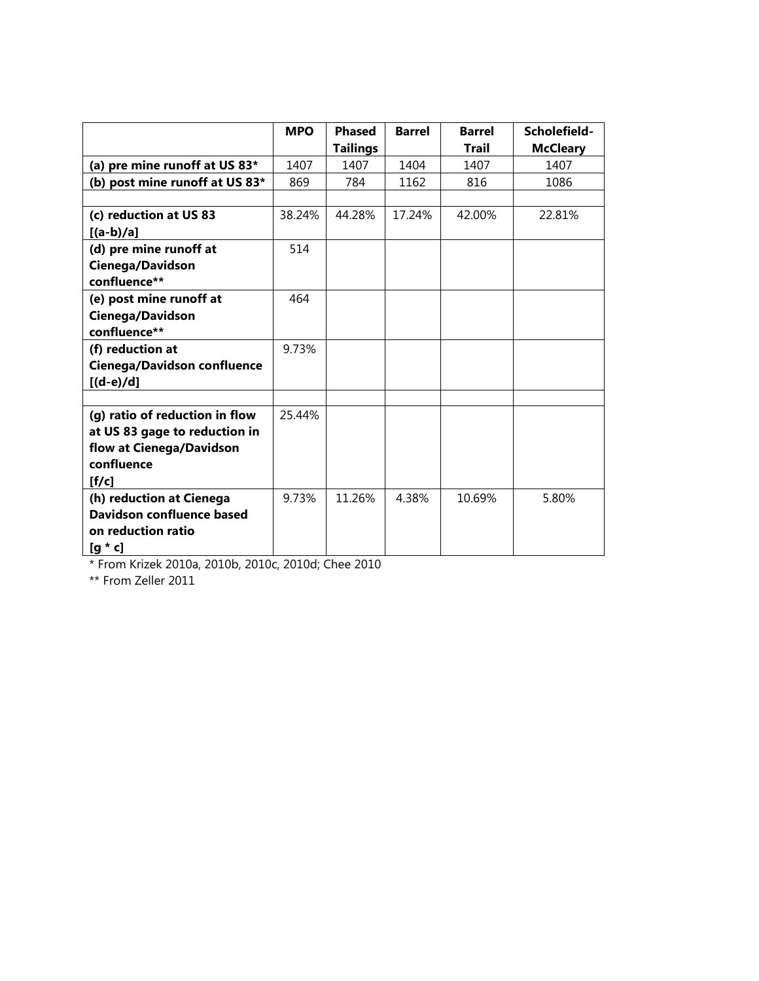|                                    | <b>MPO</b> | <b>Phased</b>   | <b>Barrel</b> | <b>Barrel</b> | Scholefield-    |
|------------------------------------|------------|-----------------|---------------|---------------|-----------------|
|                                    |            | <b>Tailings</b> |               | Trail         | <b>McCleary</b> |
| (a) pre mine runoff at US 83*      | 1407       | 1407            | 1404          | 1407          | 1407            |
| (b) post mine runoff at US 83*     | 869        | 784             | 1162          | 816           | 1086            |
|                                    |            |                 |               |               |                 |
| (c) reduction at US 83             | 38.24%     | 44.28%          | 17.24%        | 42.00%        | 22.81%          |
| $[(a-b)/a]$                        |            |                 |               |               |                 |
| (d) pre mine runoff at             | 514        |                 |               |               |                 |
| Cienega/Davidson                   |            |                 |               |               |                 |
| confluence**                       |            |                 |               |               |                 |
| (e) post mine runoff at            | 464        |                 |               |               |                 |
| Cienega/Davidson                   |            |                 |               |               |                 |
| confluence**                       |            |                 |               |               |                 |
| (f) reduction at                   | 9.73%      |                 |               |               |                 |
| <b>Cienega/Davidson confluence</b> |            |                 |               |               |                 |
| $[(d-e)/d]$                        |            |                 |               |               |                 |
|                                    |            |                 |               |               |                 |
| (g) ratio of reduction in flow     | 25.44%     |                 |               |               |                 |
| at US 83 gage to reduction in      |            |                 |               |               |                 |
| flow at Cienega/Davidson           |            |                 |               |               |                 |
| confluence                         |            |                 |               |               |                 |
| [f/c]                              |            |                 |               |               |                 |
| (h) reduction at Cienega           | 9.73%      | 11.26%          | 4.38%         | 10.69%        | 5.80%           |
| Davidson confluence based          |            |                 |               |               |                 |
| on reduction ratio                 |            |                 |               |               |                 |
| $[g * c]$                          |            |                 |               |               |                 |

\* From Krizek 2010a, 2010b, 2010c, 2010d; Chee 2010

\*\* From Zeller 2011